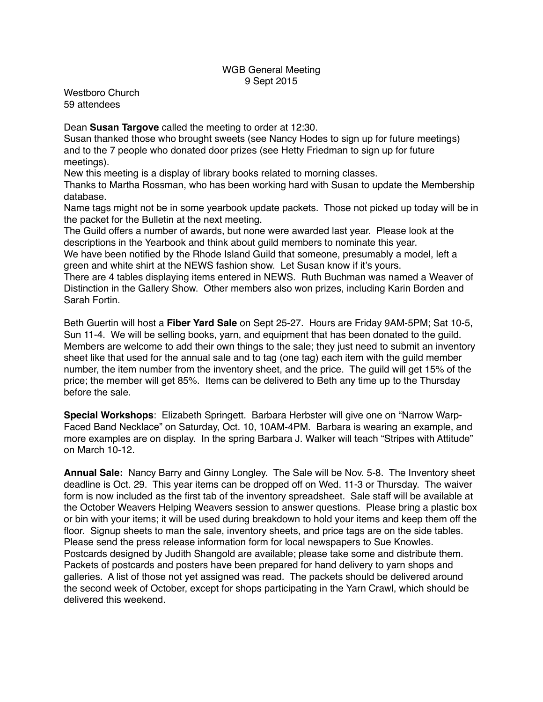## WGB General Meeting 9 Sept 2015

Westboro Church 59 attendees

Dean **Susan Targove** called the meeting to order at 12:30.

Susan thanked those who brought sweets (see Nancy Hodes to sign up for future meetings) and to the 7 people who donated door prizes (see Hetty Friedman to sign up for future meetings).

New this meeting is a display of library books related to morning classes.

Thanks to Martha Rossman, who has been working hard with Susan to update the Membership database.

Name tags might not be in some yearbook update packets. Those not picked up today will be in the packet for the Bulletin at the next meeting.

The Guild offers a number of awards, but none were awarded last year. Please look at the descriptions in the Yearbook and think about guild members to nominate this year.

We have been notified by the Rhode Island Guild that someone, presumably a model, left a green and white shirt at the NEWS fashion show. Let Susan know if it's yours.

There are 4 tables displaying items entered in NEWS. Ruth Buchman was named a Weaver of Distinction in the Gallery Show. Other members also won prizes, including Karin Borden and Sarah Fortin.

Beth Guertin will host a **Fiber Yard Sale** on Sept 25-27. Hours are Friday 9AM-5PM; Sat 10-5, Sun 11-4. We will be selling books, yarn, and equipment that has been donated to the guild. Members are welcome to add their own things to the sale; they just need to submit an inventory sheet like that used for the annual sale and to tag (one tag) each item with the guild member number, the item number from the inventory sheet, and the price. The guild will get 15% of the price; the member will get 85%. Items can be delivered to Beth any time up to the Thursday before the sale.

**Special Workshops**: Elizabeth Springett. Barbara Herbster will give one on "Narrow Warp-Faced Band Necklace" on Saturday, Oct. 10, 10AM-4PM. Barbara is wearing an example, and more examples are on display. In the spring Barbara J. Walker will teach "Stripes with Attitude" on March 10-12.

**Annual Sale:** Nancy Barry and Ginny Longley. The Sale will be Nov. 5-8. The Inventory sheet deadline is Oct. 29. This year items can be dropped off on Wed. 11-3 or Thursday. The waiver form is now included as the first tab of the inventory spreadsheet. Sale staff will be available at the October Weavers Helping Weavers session to answer questions. Please bring a plastic box or bin with your items; it will be used during breakdown to hold your items and keep them off the floor. Signup sheets to man the sale, inventory sheets, and price tags are on the side tables. Please send the press release information form for local newspapers to Sue Knowles. Postcards designed by Judith Shangold are available; please take some and distribute them. Packets of postcards and posters have been prepared for hand delivery to yarn shops and galleries. A list of those not yet assigned was read. The packets should be delivered around the second week of October, except for shops participating in the Yarn Crawl, which should be delivered this weekend.